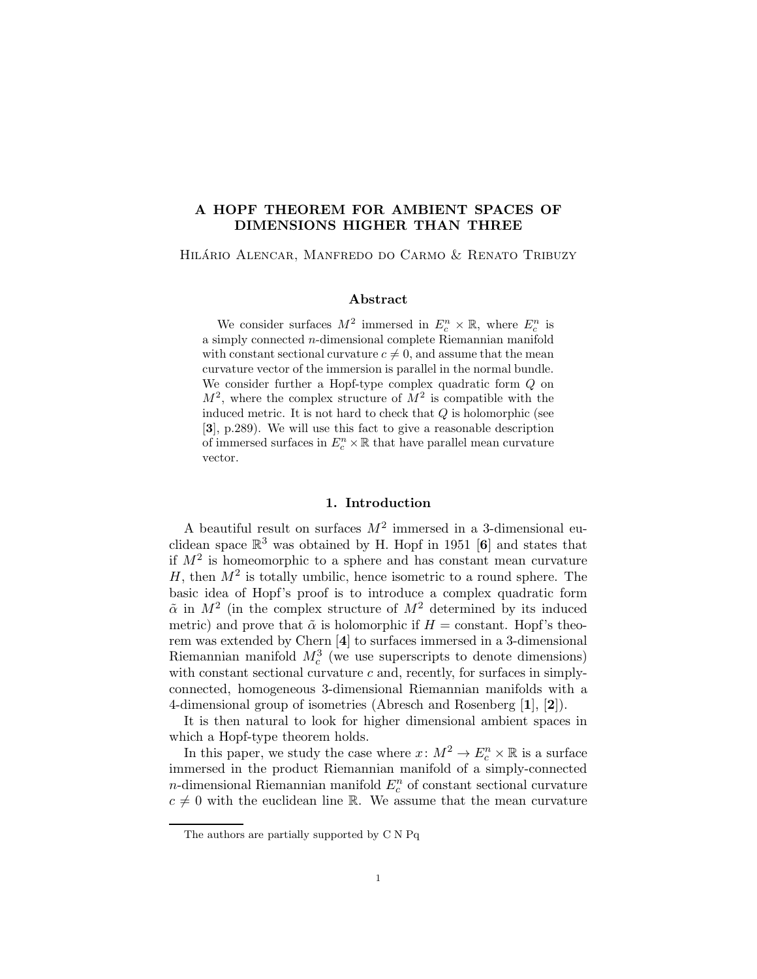# A HOPF THEOREM FOR AMBIENT SPACES OF DIMENSIONS HIGHER THAN THREE

Hilario Alencar, Manfredo do Carmo & Renato Tribuzy ´

# Abstract

We consider surfaces  $M^2$  immersed in  $E_c^n \times \mathbb{R}$ , where  $E_c^n$  is a simply connected n-dimensional complete Riemannian manifold with constant sectional curvature  $c \neq 0$ , and assume that the mean curvature vector of the immersion is parallel in the normal bundle. We consider further a Hopf-type complex quadratic form Q on  $M^2$ , where the complex structure of  $M^2$  is compatible with the induced metric. It is not hard to check that  $Q$  is holomorphic (see [3], p.289). We will use this fact to give a reasonable description of immersed surfaces in  $E_c^n \times \mathbb{R}$  that have parallel mean curvature vector.

## 1. Introduction

A beautiful result on surfaces  $M^2$  immersed in a 3-dimensional euclidean space  $\mathbb{R}^3$  was obtained by H. Hopf in 1951 [6] and states that if  $M^2$  is homeomorphic to a sphere and has constant mean curvature H, then  $M^2$  is totally umbilic, hence isometric to a round sphere. The basic idea of Hopf's proof is to introduce a complex quadratic form  $\tilde{\alpha}$  in  $M^2$  (in the complex structure of  $M^2$  determined by its induced metric) and prove that  $\tilde{\alpha}$  is holomorphic if  $H = \text{constant}$ . Hopf's theorem was extended by Chern [4] to surfaces immersed in a 3-dimensional Riemannian manifold  $M_c^3$  (we use superscripts to denote dimensions) with constant sectional curvature  $c$  and, recently, for surfaces in simplyconnected, homogeneous 3-dimensional Riemannian manifolds with a 4-dimensional group of isometries (Abresch and Rosenberg [1], [2]).

It is then natural to look for higher dimensional ambient spaces in which a Hopf-type theorem holds.

In this paper, we study the case where  $x \colon M^2 \to E_c^n \times \mathbb{R}$  is a surface immersed in the product Riemannian manifold of a simply-connected n-dimensional Riemannian manifold  $E_c^n$  of constant sectional curvature  $c \neq 0$  with the euclidean line R. We assume that the mean curvature

The authors are partially supported by C N Pq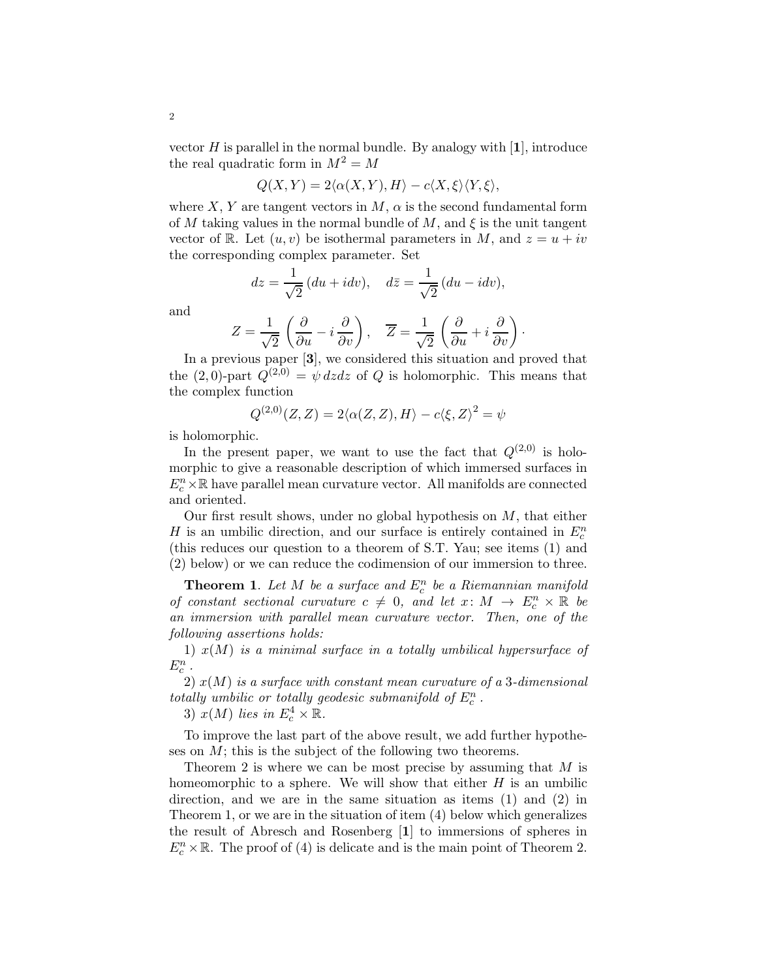vector  $H$  is parallel in the normal bundle. By analogy with  $[1]$ , introduce the real quadratic form in  $M^2 = M$ 

$$
Q(X,Y) = 2\langle \alpha(X,Y), H \rangle - c\langle X, \xi \rangle \langle Y, \xi \rangle,
$$

where X, Y are tangent vectors in M,  $\alpha$  is the second fundamental form of M taking values in the normal bundle of M, and  $\xi$  is the unit tangent vector of R. Let  $(u, v)$  be isothermal parameters in M, and  $z = u + iv$ the corresponding complex parameter. Set

$$
dz = \frac{1}{\sqrt{2}} (du + idv), \quad d\bar{z} = \frac{1}{\sqrt{2}} (du - idv),
$$

and

$$
Z = \frac{1}{\sqrt{2}} \left( \frac{\partial}{\partial u} - i \frac{\partial}{\partial v} \right), \quad \overline{Z} = \frac{1}{\sqrt{2}} \left( \frac{\partial}{\partial u} + i \frac{\partial}{\partial v} \right).
$$

In a previous paper [3], we considered this situation and proved that the  $(2,0)$ -part  $Q^{(2,0)} = \psi \, dz \, dz$  of Q is holomorphic. This means that the complex function

$$
Q^{(2,0)}(Z,Z) = 2\langle \alpha(Z,Z), H \rangle - c\langle \xi, Z \rangle^2 = \psi
$$

is holomorphic.

In the present paper, we want to use the fact that  $Q^{(2,0)}$  is holomorphic to give a reasonable description of which immersed surfaces in  $E^n_c\times\mathbb{R}$  have parallel mean curvature vector. All manifolds are connected and oriented.

Our first result shows, under no global hypothesis on  $M$ , that either H is an umbilic direction, and our surface is entirely contained in  $E_c^n$ (this reduces our question to a theorem of S.T. Yau; see items (1) and (2) below) or we can reduce the codimension of our immersion to three.

**Theorem 1.** Let  $M$  be a surface and  $E_c^n$  be a Riemannian manifold *of constant sectional curvature*  $c \neq 0$ *, and let*  $x: M \rightarrow E_c^n \times \mathbb{R}$  be *an immersion with parallel mean curvature vector. Then, one of the following assertions holds:*

1) x(M) *is a minimal surface in a totally umbilical hypersurface of*  $E_c^n$ .

2) x(M) *is a surface with constant mean curvature of a* 3*-dimensional totally umbilic or totally geodesic submanifold of*  $E_c^n$ .

3)  $x(M)$  lies in  $E_c^4 \times \mathbb{R}$ .

To improve the last part of the above result, we add further hypotheses on M; this is the subject of the following two theorems.

Theorem 2 is where we can be most precise by assuming that  $M$  is homeomorphic to a sphere. We will show that either  $H$  is an umbilic direction, and we are in the same situation as items (1) and (2) in Theorem 1, or we are in the situation of item (4) below which generalizes the result of Abresch and Rosenberg [1] to immersions of spheres in  $E_c^n \times \mathbb{R}$ . The proof of (4) is delicate and is the main point of Theorem 2.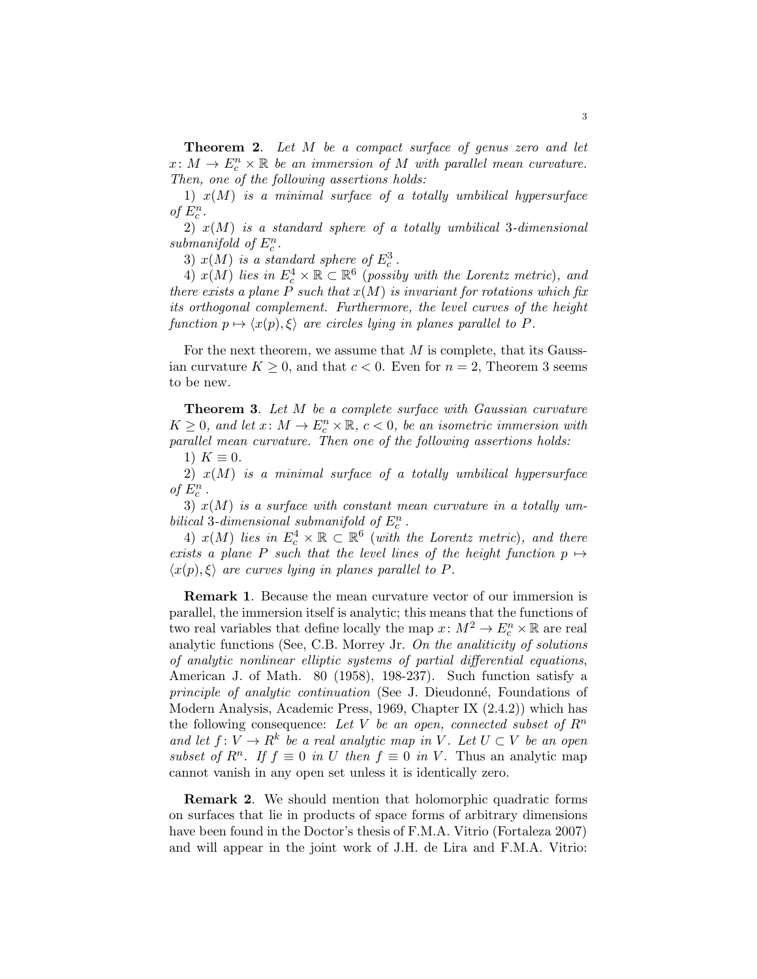Theorem 2. *Let* M *be a compact surface of genus zero and let*  $x: M \to E_c^n \times \mathbb{R}$  be an immersion of M with parallel mean curvature. *Then, one of the following assertions holds:*

1) x(M) *is a minimal surface of a totally umbilical hypersurface* of  $E_c^n$ .

2) x(M) *is a standard sphere of a totally umbilical* 3*-dimensional*  $submanifold$  of  $E_c^n$ .

3)  $x(M)$  *is a standard sphere of*  $E_c^3$ .

4)  $x(M)$  *lies in*  $E_c^4 \times \mathbb{R} \subset \mathbb{R}^6$  (*possiby with the Lorentz metric*)*, and there exists a plane*  $P$  *such that*  $x(M)$  *is invariant for rotations which fix its orthogonal complement. Furthermore, the level curves of the height function*  $p \mapsto \langle x(p), \xi \rangle$  *are circles lying in planes parallel to* P.

For the next theorem, we assume that  $M$  is complete, that its Gaussian curvature  $K \geq 0$ , and that  $c < 0$ . Even for  $n = 2$ , Theorem 3 seems to be new.

Theorem 3. *Let* M *be a complete surface with Gaussian curvature*  $K \geq 0$ , and let  $x \colon M \to E_c^n \times \mathbb{R}$ ,  $c < 0$ , be an isometric immersion with *parallel mean curvature. Then one of the following assertions holds:*

1)  $K \equiv 0$ .

2) x(M) *is a minimal surface of a totally umbilical hypersurface*  $of\ E^n_c$  .

3) x(M) *is a surface with constant mean curvature in a totally umbilical* 3-dimensional submanifold of  $E_c^n$ .

4)  $x(M)$  lies in  $E_c^4 \times \mathbb{R} \subset \mathbb{R}^6$  (with the Lorentz metric), and there *exists a plane* P *such that the level lines of the height function*  $p \mapsto$  $\langle x(p), \xi \rangle$  *are curves lying in planes parallel to P.* 

Remark 1. Because the mean curvature vector of our immersion is parallel, the immersion itself is analytic; this means that the functions of two real variables that define locally the map  $x \colon M^2 \to E_c^n \times \mathbb{R}$  are real analytic functions (See, C.B. Morrey Jr. *On the analiticity of solutions of analytic nonlinear elliptic systems of partial differential equations*, American J. of Math. 80 (1958), 198-237). Such function satisfy a *principle of analytic continuation* (See J. Dieudonné, Foundations of Modern Analysis, Academic Press, 1969, Chapter IX (2.4.2)) which has the following consequence: Let V be an open, connected subset of  $R<sup>n</sup>$ *and let*  $f: V \to R^k$  *be a real analytic map in* V. Let  $U \subset V$  *be an open subset of*  $R^n$ . If  $f \equiv 0$  *in* U *then*  $f \equiv 0$  *in* V. Thus an analytic map cannot vanish in any open set unless it is identically zero.

Remark 2. We should mention that holomorphic quadratic forms on surfaces that lie in products of space forms of arbitrary dimensions have been found in the Doctor's thesis of F.M.A. Vitrio (Fortaleza 2007) and will appear in the joint work of J.H. de Lira and F.M.A. Vitrio: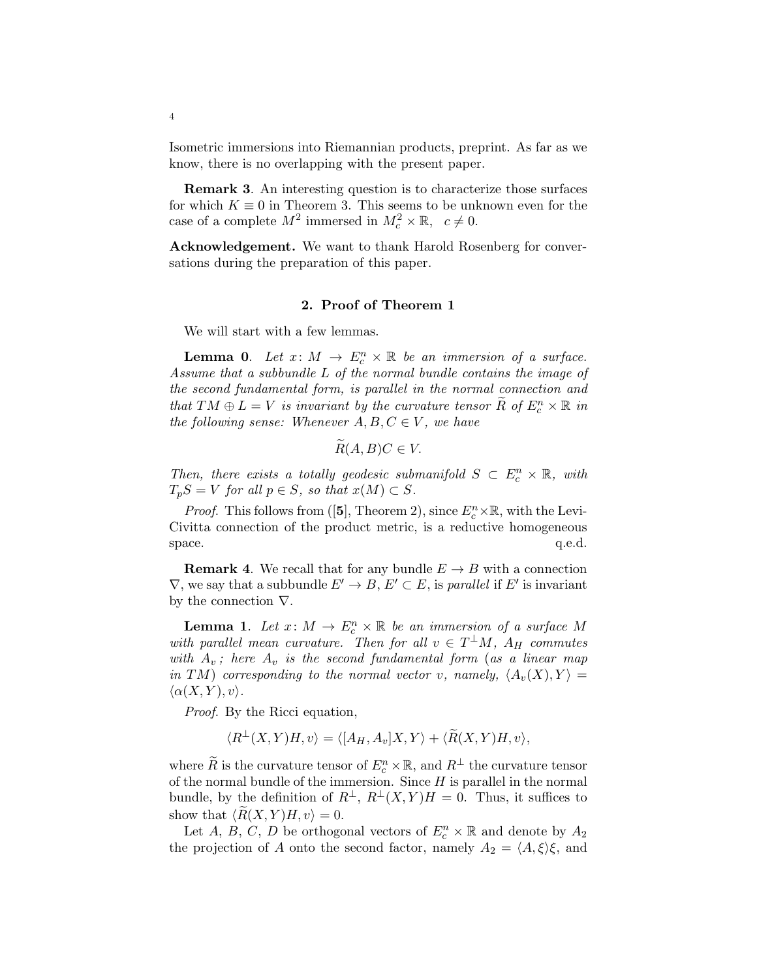Isometric immersions into Riemannian products, preprint. As far as we know, there is no overlapping with the present paper.

Remark 3. An interesting question is to characterize those surfaces for which  $K \equiv 0$  in Theorem 3. This seems to be unknown even for the case of a complete  $M^2$  immersed in  $M_c^2 \times \mathbb{R}$ ,  $c \neq 0$ .

Acknowledgement. We want to thank Harold Rosenberg for conversations during the preparation of this paper.

## 2. Proof of Theorem 1

We will start with a few lemmas.

**Lemma 0.** Let  $x: M \to E_c^n \times \mathbb{R}$  be an immersion of a surface. *Assume that a subbundle* L *of the normal bundle contains the image of the second fundamental form, is parallel in the normal connection and that*  $TM \oplus L = V$  *is invariant by the curvature tensor*  $\widetilde{R}$  *of*  $E_c^n \times \mathbb{R}$  *in the following sense: Whenever*  $A, B, C \in V$ *, we have* 

$$
R(A,B)C\in V.
$$

*Then, there exists a totally geodesic submanifold*  $S \subset E_c^n \times \mathbb{R}$ , with  $T_pS = V$  *for all*  $p \in S$ *, so that*  $x(M) \subset S$ *.* 

*Proof.* This follows from ([5], Theorem 2), since  $E_c^n \times \mathbb{R}$ , with the Levi-Civitta connection of the product metric, is a reductive homogeneous space.  $q.e.d.$ 

**Remark 4.** We recall that for any bundle  $E \to B$  with a connection  $\nabla$ , we say that a subbundle  $E' \to B$ ,  $E' \subset E$ , is *parallel* if  $E'$  is invariant by the connection  $\nabla$ .

**Lemma 1.** Let  $x \colon M \to E_c^n \times \mathbb{R}$  be an immersion of a surface M *with parallel mean curvature.* Then for all  $v \in T^{\perp}M$ ,  $A_H$  *commutes with*  $A_v$ ; here  $A_v$  *is the second fundamental form (as a linear map in* TM) *corresponding to the normal vector* v, *namely*,  $\langle A_v(X), Y \rangle =$  $\langle \alpha(X, Y), v \rangle$ .

*Proof*. By the Ricci equation,

$$
\langle R^{\perp}(X,Y)H,v\rangle = \langle [A_H,A_v]X,Y\rangle + \langle \widetilde{R}(X,Y)H,v\rangle,
$$

where  $\widetilde{R}$  is the curvature tensor of  $E_c^n \times \mathbb{R}$ , and  $R^{\perp}$  the curvature tensor of the normal bundle of the immersion. Since  $H$  is parallel in the normal bundle, by the definition of  $R^{\perp}$ ,  $R^{\perp}(X, Y)H = 0$ . Thus, it suffices to show that  $\langle R(X, Y)H, v \rangle = 0$ .

Let A, B, C, D be orthogonal vectors of  $E_c^n \times \mathbb{R}$  and denote by  $A_2$ the projection of A onto the second factor, namely  $A_2 = \langle A, \xi \rangle \xi$ , and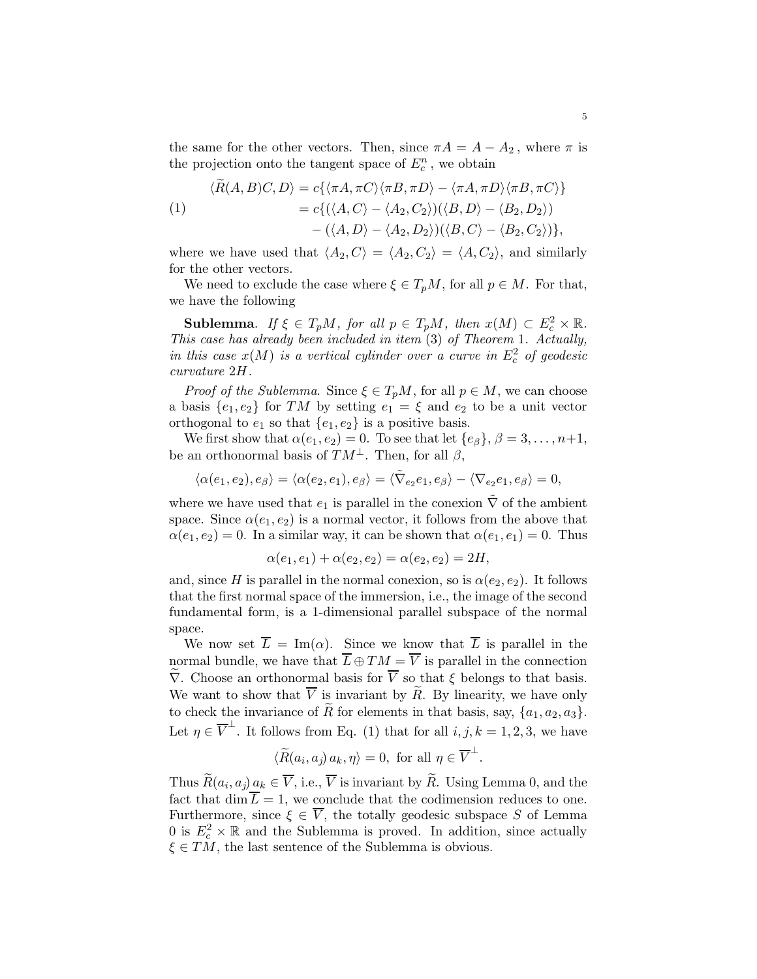the same for the other vectors. Then, since  $\pi A = A - A_2$ , where  $\pi$  is the projection onto the tangent space of  $E_c^n$ , we obtain

$$
\langle R(A,B)C,D\rangle = c\{\langle \pi A, \pi C\rangle \langle \pi B, \pi D\rangle - \langle \pi A, \pi D\rangle \langle \pi B, \pi C\rangle\}
$$

(1) 
$$
= c\{ (\langle A, C \rangle - \langle A_2, C_2 \rangle)(\langle B, D \rangle - \langle B_2, D_2 \rangle) - (\langle A, D \rangle - \langle A_2, D_2 \rangle)(\langle B, C \rangle - \langle B_2, C_2 \rangle) \},
$$

where we have used that  $\langle A_2, C \rangle = \langle A_2, C_2 \rangle = \langle A, C_2 \rangle$ , and similarly for the other vectors.

We need to exclude the case where  $\xi \in T_pM$ , for all  $p \in M$ . For that, we have the following

**Sublemma.** *If*  $\xi \in T_pM$ *, for all*  $p \in T_pM$ *, then*  $x(M) \subset E_c^2 \times \mathbb{R}$ . *This case has already been included in item* (3) *of Theorem* 1*. Actually, in this case*  $x(M)$  *is a vertical cylinder over a curve in*  $E_c^2$  *of geodesic curvature* 2H*.*

*Proof of the Sublemma*. Since  $\xi \in T_pM$ , for all  $p \in M$ , we can choose a basis  $\{e_1, e_2\}$  for TM by setting  $e_1 = \xi$  and  $e_2$  to be a unit vector orthogonal to  $e_1$  so that  $\{e_1, e_2\}$  is a positive basis.

We first show that  $\alpha(e_1, e_2) = 0$ . To see that let  $\{e_\beta\}, \beta = 3, \ldots, n+1$ , be an orthonormal basis of  $TM^{\perp}$ . Then, for all  $\beta$ ,

$$
\langle \alpha(e_1, e_2), e_\beta \rangle = \langle \alpha(e_2, e_1), e_\beta \rangle = \langle \tilde{\nabla}_{e_2} e_1, e_\beta \rangle - \langle \nabla_{e_2} e_1, e_\beta \rangle = 0,
$$

where we have used that  $e_1$  is parallel in the conexion  $\tilde{\nabla}$  of the ambient space. Since  $\alpha(e_1, e_2)$  is a normal vector, it follows from the above that  $\alpha(e_1, e_2) = 0$ . In a similar way, it can be shown that  $\alpha(e_1, e_1) = 0$ . Thus

$$
\alpha(e_1, e_1) + \alpha(e_2, e_2) = \alpha(e_2, e_2) = 2H,
$$

and, since H is parallel in the normal conexion, so is  $\alpha(e_2, e_2)$ . It follows that the first normal space of the immersion, i.e., the image of the second fundamental form, is a 1-dimensional parallel subspace of the normal space.

We now set  $\overline{L} = \text{Im}(\alpha)$ . Since we know that  $\overline{L}$  is parallel in the normal bundle, we have that  $\overline{L} \oplus TM = \overline{V}$  is parallel in the connection  $\widetilde{\nabla}$ . Choose an orthonormal basis for  $\overline{V}$  so that  $\xi$  belongs to that basis. We want to show that  $\overline{V}$  is invariant by  $\widetilde{R}$ . By linearity, we have only to check the invariance of  $\widetilde{R}$  for elements in that basis, say,  $\{a_1, a_2, a_3\}$ . Let  $\eta \in \overline{V}^{\perp}$ . It follows from Eq. (1) that for all  $i, j, k = 1, 2, 3$ , we have

$$
\langle \widetilde{R}(a_i,a_j) \, a_k, \eta \rangle = 0, \text{ for all } \eta \in \overline{V}^\perp.
$$

Thus  $R(a_i, a_j) \underline{a_k} \in V$ , i.e., V is invariant by R. Using Lemma 0, and the fact that dim  $\overline{L} = 1$ , we conclude that the codimension reduces to one. Furthermore, since  $\xi \in \overline{V}$ , the totally geodesic subspace S of Lemma 0 is  $E_c^2 \times \mathbb{R}$  and the Sublemma is proved. In addition, since actually  $\xi \in TM$ , the last sentence of the Sublemma is obvious.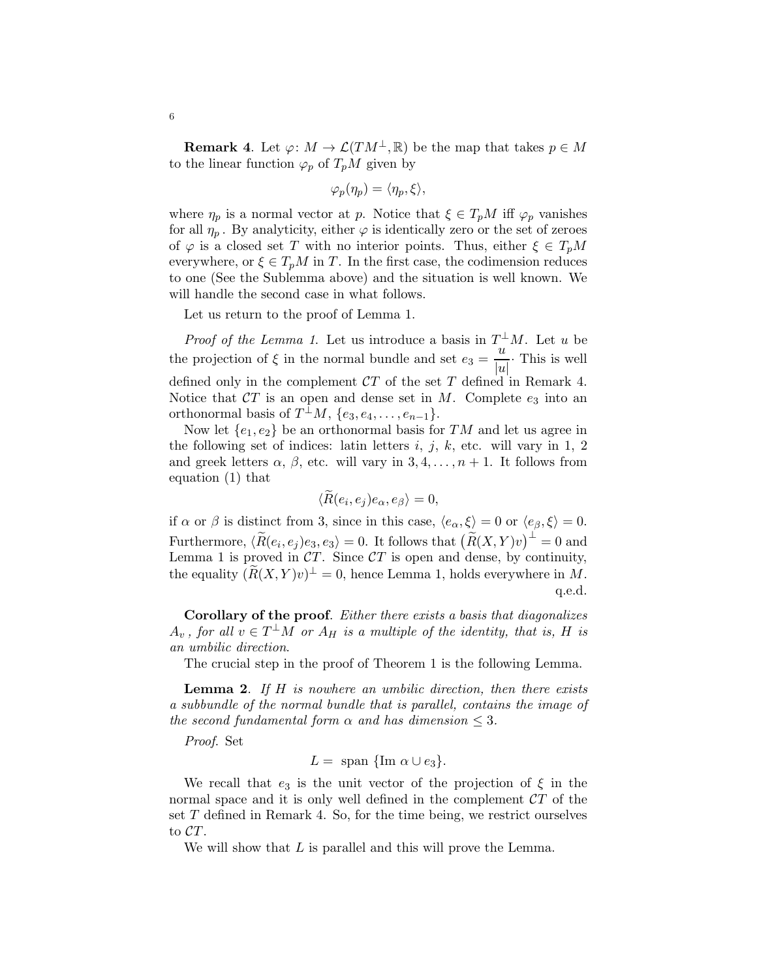**Remark 4.** Let  $\varphi: M \to \mathcal{L}(TM^{\perp}, \mathbb{R})$  be the map that takes  $p \in M$ to the linear function  $\varphi_p$  of  $T_pM$  given by

$$
\varphi_p(\eta_p)=\langle \eta_p,\xi\rangle,
$$

where  $\eta_p$  is a normal vector at p. Notice that  $\xi \in T_pM$  iff  $\varphi_p$  vanishes for all  $\eta_p$ . By analyticity, either  $\varphi$  is identically zero or the set of zeroes of  $\varphi$  is a closed set T with no interior points. Thus, either  $\xi \in T_pM$ everywhere, or  $\xi \in T_pM$  in T. In the first case, the codimension reduces to one (See the Sublemma above) and the situation is well known. We will handle the second case in what follows.

Let us return to the proof of Lemma 1.

*Proof of the Lemma 1*. Let us introduce a basis in  $T^{\perp}M$ . Let u be the projection of  $\xi$  in the normal bundle and set  $e_3 = \frac{u}{|v|}$  $\frac{u}{|u|}$ . This is well defined only in the complement  $CT$  of the set T defined in Remark 4. Notice that  $CT$  is an open and dense set in M. Complete  $e_3$  into an orthonormal basis of  $T^{\perp}M$ ,  $\{e_3, e_4, \ldots, e_{n-1}\}.$ 

Now let  $\{e_1, e_2\}$  be an orthonormal basis for TM and let us agree in the following set of indices: latin letters  $i, j, k$ , etc. will vary in 1, 2 and greek letters  $\alpha$ ,  $\beta$ , etc. will vary in 3,4,...,  $n + 1$ . It follows from equation (1) that

$$
\langle R(e_i, e_j)e_\alpha, e_\beta \rangle = 0,
$$

if  $\alpha$  or  $\beta$  is distinct from 3, since in this case,  $\langle e_{\alpha}, \xi \rangle = 0$  or  $\langle e_{\beta}, \xi \rangle = 0$ . Furthermore,  $\langle \widetilde{R}(e_i,e_j)e_3,e_3\rangle = 0$ . It follows that  $\bigl(\widetilde{R}(X,Y)v\bigr)^\perp = 0$  and Lemma 1 is proved in  $CT$ . Since  $CT$  is open and dense, by continuity, the equality  $(\widetilde{R}(X,Y)v)^{\perp} = 0$ , hence Lemma 1, holds everywhere in M. q.e.d.

Corollary of the proof. *Either there exists a basis that diagonalizes*  $A_v$ , for all  $v \in T^{\perp} \overline{M}$  or  $A_H$  is a multiple of the identity, that is, H is *an umbilic direction*.

The crucial step in the proof of Theorem 1 is the following Lemma.

Lemma 2. *If* H *is nowhere an umbilic direction, then there exists a subbundle of the normal bundle that is parallel, contains the image of the second fundamental form*  $\alpha$  *and has dimension*  $\leq 3$ *.* 

*Proof*. Set

$$
L = \text{span } \{\text{Im }\alpha \cup e_3\}.
$$

We recall that  $e_3$  is the unit vector of the projection of  $\xi$  in the normal space and it is only well defined in the complement  $CT$  of the set T defined in Remark 4. So, for the time being, we restrict ourselves to CT.

We will show that L is parallel and this will prove the Lemma.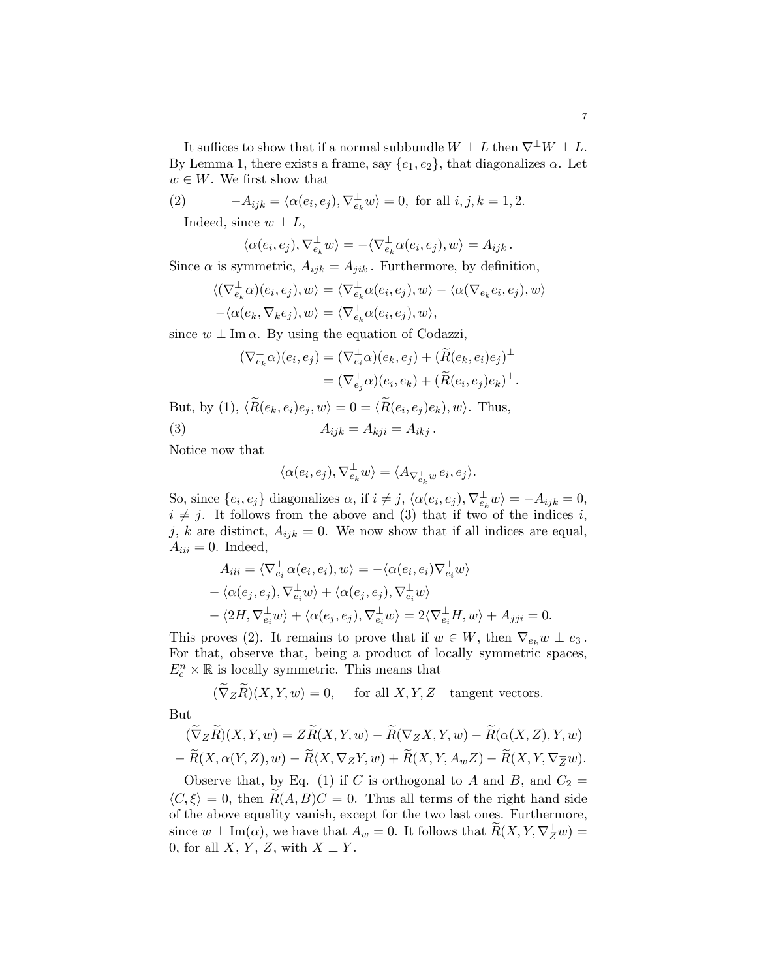It suffices to show that if a normal subbundle  $W \perp L$  then  $\nabla^{\perp} W \perp L$ . By Lemma 1, there exists a frame, say  $\{e_1, e_2\}$ , that diagonalizes  $\alpha$ . Let  $w \in W$ . We first show that

(2) 
$$
-A_{ijk} = \langle \alpha(e_i, e_j), \nabla_{e_k}^{\perp} w \rangle = 0, \text{ for all } i, j, k = 1, 2.
$$

Indeed, since  $w \perp L$ ,

$$
\langle \alpha(e_i, e_j), \nabla_{e_k}^{\perp} w \rangle = -\langle \nabla_{e_k}^{\perp} \alpha(e_i, e_j), w \rangle = A_{ijk}.
$$

Since  $\alpha$  is symmetric,  $A_{ijk} = A_{jik}$ . Furthermore, by definition,

$$
\langle (\nabla_{e_k}^{\perp} \alpha)(e_i, e_j), w \rangle = \langle \nabla_{e_k}^{\perp} \alpha(e_i, e_j), w \rangle - \langle \alpha(\nabla_{e_k} e_i, e_j), w \rangle - \langle \alpha(e_k, \nabla_k e_j), w \rangle = \langle \nabla_{e_k}^{\perp} \alpha(e_i, e_j), w \rangle,
$$

since  $w \perp \text{Im }\alpha$ . By using the equation of Codazzi,

$$
(\nabla_{e_k}^{\perp}\alpha)(e_i, e_j) = (\nabla_{e_i}^{\perp}\alpha)(e_k, e_j) + (\widetilde{R}(e_k, e_i)e_j)^{\perp}
$$
  

$$
= (\nabla_{e_j}^{\perp}\alpha)(e_i, e_k) + (\widetilde{R}(e_i, e_j)e_k)^{\perp}.
$$

But, by (1),  $\langle R(e_k, e_i)e_j, w \rangle = 0 = \langle R(e_i, e_j)e_k, w \rangle$ . Thus, (3)  $A_{ijk} = A_{kji} = A_{ikj}$ .

Notice now that

$$
\langle \alpha(e_i,e_j), \nabla_{e_k}^\perp w\rangle = \langle A_{\nabla_{e_k}^\perp w} \, e_i, e_j\rangle.
$$

So, since  $\{e_i, e_j\}$  diagonalizes  $\alpha$ , if  $i \neq j$ ,  $\langle \alpha(e_i, e_j), \nabla_{e_k}^{\perp} w \rangle = -A_{ijk} = 0$ ,  $i \neq j$ . It follows from the above and (3) that if two of the indices i, j, k are distinct,  $A_{ijk} = 0$ . We now show that if all indices are equal,  $A_{iii} = 0$ . Indeed,

$$
A_{iii} = \langle \nabla_{e_i}^{\perp} \alpha(e_i, e_i), w \rangle = -\langle \alpha(e_i, e_i) \nabla_{e_i}^{\perp} w \rangle - \langle \alpha(e_j, e_j), \nabla_{e_i}^{\perp} w \rangle + \langle \alpha(e_j, e_j), \nabla_{e_i}^{\perp} w \rangle - \langle 2H, \nabla_{e_i}^{\perp} w \rangle + \langle \alpha(e_j, e_j), \nabla_{e_i}^{\perp} w \rangle = 2 \langle \nabla_{e_i}^{\perp} H, w \rangle + A_{jji} = 0.
$$

This proves (2). It remains to prove that if  $w \in W$ , then  $\nabla_{e_k} w \perp e_3$ . For that, observe that, being a product of locally symmetric spaces,  $E_c^n \times \mathbb{R}$  is locally symmetric. This means that

 $(\widetilde{\nabla}_Z \widetilde{R})(X, Y, w) = 0$ , for all  $X, Y, Z$  tangent vectors. But

$$
(\widetilde{\nabla}_Z \widetilde{R})(X, Y, w) = Z \widetilde{R}(X, Y, w) - \widetilde{R}(\nabla_Z X, Y, w) - \widetilde{R}(\alpha(X, Z), Y, w) - \widetilde{R}(X, \alpha(Y, Z), w) - \widetilde{R}(X, \nabla_Z Y, w) + \widetilde{R}(X, Y, A_w Z) - \widetilde{R}(X, Y, \nabla_Z^{\perp} w).
$$

Observe that, by Eq. (1) if C is orthogonal to A and B, and  $C_2 =$  $\langle C, \xi \rangle = 0$ , then  $R(A, B)C = 0$ . Thus all terms of the right hand side of the above equality vanish, except for the two last ones. Furthermore, since  $w \perp \text{Im}(\alpha)$ , we have that  $A_w = 0$ . It follows that  $\widetilde{R}(X, Y, \nabla_Z^{\perp} w) =$ 0, for all  $X, Y, Z$ , with  $X \perp Y$ .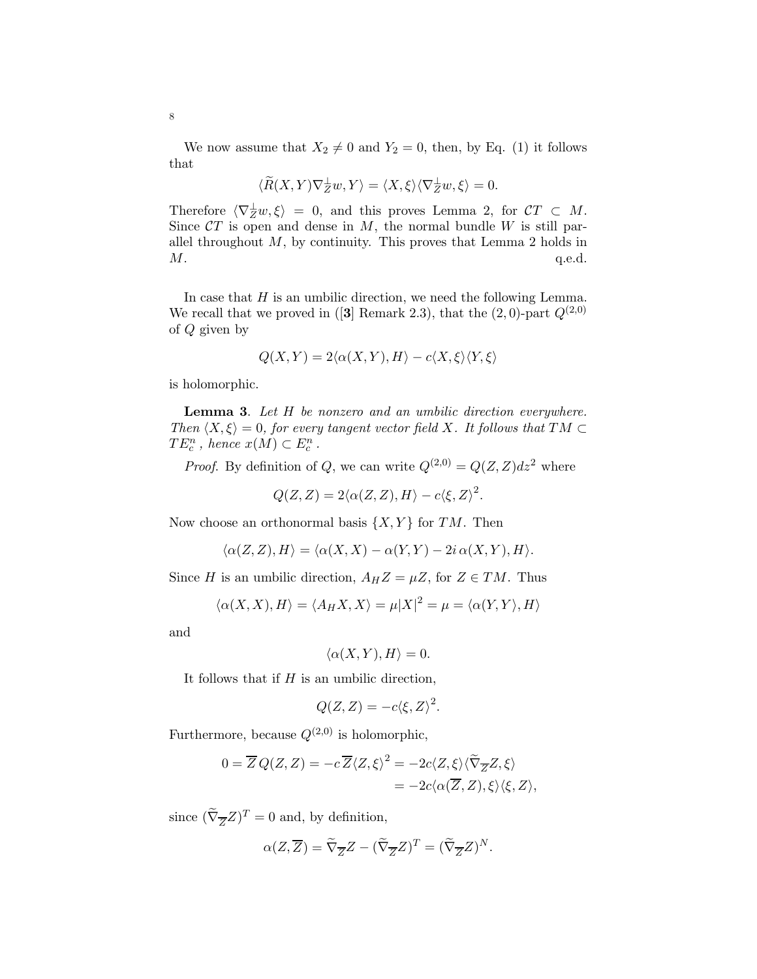We now assume that  $X_2 \neq 0$  and  $Y_2 = 0$ , then, by Eq. (1) it follows that

$$
\langle \widetilde{R}(X,Y)\nabla_Z^{\perp}w,Y\rangle = \langle X,\xi\rangle \langle \nabla_Z^{\perp}w,\xi\rangle = 0.
$$

Therefore  $\langle \nabla_Z^{\perp} w, \xi \rangle = 0$ , and this proves Lemma 2, for  $\mathcal{C}T \subset M$ . Since  $CT$  is open and dense in M, the normal bundle W is still parallel throughout  $M$ , by continuity. This proves that Lemma 2 holds in  $M.$  q.e.d.

In case that  $H$  is an umbilic direction, we need the following Lemma. We recall that we proved in ([3] Remark 2.3), that the  $(2,0)$ -part  $Q^{(2,0)}$ of Q given by

$$
Q(X,Y) = 2\langle \alpha(X,Y), H \rangle - c\langle X, \xi \rangle \langle Y, \xi \rangle
$$

is holomorphic.

Lemma 3. *Let* H *be nonzero and an umbilic direction everywhere. Then*  $\langle X, \xi \rangle = 0$ *, for every tangent vector field* X*. It follows that*  $TM \subset$  $TE_c^n$ , hence  $x(M) \subset E_c^n$ .

*Proof.* By definition of Q, we can write  $Q^{(2,0)} = Q(Z, Z)dz^2$  where

$$
Q(Z,Z) = 2\langle \alpha(Z,Z), H \rangle - c\langle \xi, Z \rangle^2.
$$

Now choose an orthonormal basis  $\{X, Y\}$  for TM. Then

$$
\langle \alpha(Z, Z), H \rangle = \langle \alpha(X, X) - \alpha(Y, Y) - 2i \alpha(X, Y), H \rangle.
$$

Since H is an umbilic direction,  $A_H Z = \mu Z$ , for  $Z \in TM$ . Thus

$$
\langle \alpha(X, X), H \rangle = \langle A_H X, X \rangle = \mu |X|^2 = \mu = \langle \alpha(Y, Y), H \rangle
$$

and

$$
\langle \alpha(X,Y), H \rangle = 0.
$$

It follows that if  $H$  is an umbilic direction,

$$
Q(Z,Z) = -c \langle \xi, Z \rangle^2.
$$

Furthermore, because  $Q^{(2,0)}$  is holomorphic,

$$
0 = \overline{Z} Q(Z, Z) = -c \overline{Z} \langle Z, \xi \rangle^2 = -2c \langle Z, \xi \rangle \langle \widetilde{\nabla}_{\overline{Z}} Z, \xi \rangle
$$
  
= -2c \langle \alpha(\overline{Z}, Z), \xi \rangle \langle \xi, Z \rangle,

since  $(\tilde{\nabla}_{\overline{Z}}Z)^T = 0$  and, by definition,

$$
\alpha(Z,\overline{Z}) = \widetilde{\nabla}_{\overline{Z}}Z - (\widetilde{\nabla}_{\overline{Z}}Z)^T = (\widetilde{\nabla}_{\overline{Z}}Z)^N.
$$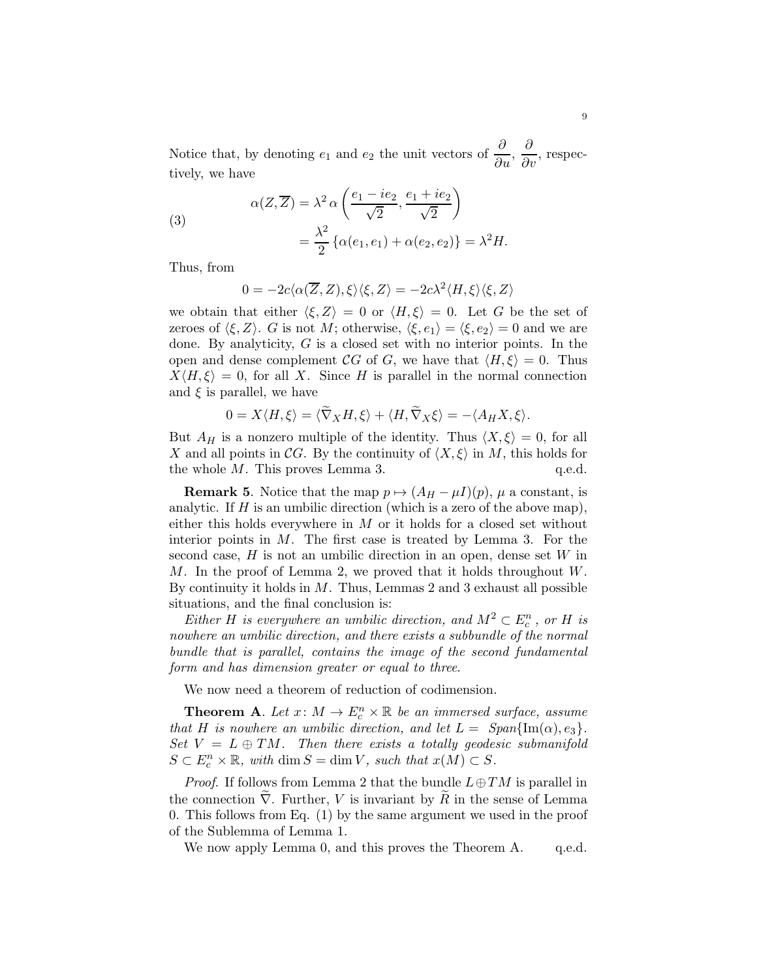Notice that, by denoting  $e_1$  and  $e_2$  the unit vectors of  $\frac{\partial}{\partial u}, \frac{\partial}{\partial v}$ , respectively, we have

(3)  

$$
\alpha(Z,\overline{Z}) = \lambda^2 \alpha \left( \frac{e_1 - ie_2}{\sqrt{2}}, \frac{e_1 + ie_2}{\sqrt{2}} \right)
$$

$$
= \frac{\lambda^2}{2} \{ \alpha(e_1, e_1) + \alpha(e_2, e_2) \} = \lambda^2 H.
$$

Thus, from

$$
0 = -2c\langle \alpha(\overline{Z}, Z), \xi \rangle \langle \xi, Z \rangle = -2c\lambda^2 \langle H, \xi \rangle \langle \xi, Z \rangle
$$

we obtain that either  $\langle \xi, Z \rangle = 0$  or  $\langle H, \xi \rangle = 0$ . Let G be the set of zeroes of  $\langle \xi, Z \rangle$ . G is not M; otherwise,  $\langle \xi, e_1 \rangle = \langle \xi, e_2 \rangle = 0$  and we are done. By analyticity, G is a closed set with no interior points. In the open and dense complement CG of G, we have that  $\langle H, \xi \rangle = 0$ . Thus  $X\langle H,\xi\rangle = 0$ , for all X. Since H is parallel in the normal connection and  $\xi$  is parallel, we have

$$
0 = X \langle H, \xi \rangle = \langle \nabla_X H, \xi \rangle + \langle H, \nabla_X \xi \rangle = -\langle A_H X, \xi \rangle.
$$

But  $A_H$  is a nonzero multiple of the identity. Thus  $\langle X, \xi \rangle = 0$ , for all X and all points in CG. By the continuity of  $\langle X, \xi \rangle$  in M, this holds for the whole M. This proves Lemma 3. q.e.d. the whole  $M$ . This proves Lemma 3.

**Remark 5.** Notice that the map  $p \mapsto (A_H - \mu I)(p)$ ,  $\mu$  a constant, is analytic. If  $H$  is an umbilic direction (which is a zero of the above map), either this holds everywhere in  $M$  or it holds for a closed set without interior points in  $M$ . The first case is treated by Lemma 3. For the second case,  $H$  is not an umbilic direction in an open, dense set  $W$  in M. In the proof of Lemma 2, we proved that it holds throughout W. By continuity it holds in  $M$ . Thus, Lemmas 2 and 3 exhaust all possible situations, and the final conclusion is:

*Either H is everywhere an umbilic direction, and*  $M^2 \subset E_c^n$ , or *H is nowhere an umbilic direction, and there exists a subbundle of the normal bundle that is parallel, contains the image of the second fundamental form and has dimension greater or equal to three*.

We now need a theorem of reduction of codimension.

**Theorem A.** Let  $x \colon M \to E_c^n \times \mathbb{R}$  be an immersed surface, assume *that* H *is nowhere an umbilic direction, and let*  $L = Span\{\text{Im}(\alpha), e_3\}.$ *Set*  $V = L \oplus TM$ *. Then there exists a totally geodesic submanifold*  $S \subset E_c^n \times \mathbb{R}$ *, with* dim  $S = \dim V$ *, such that*  $x(M) \subset S$ *.* 

*Proof.* If follows from Lemma 2 that the bundle  $L \oplus TM$  is parallel in the connection  $\nabla$ . Further, V is invariant by R in the sense of Lemma 0. This follows from Eq. (1) by the same argument we used in the proof of the Sublemma of Lemma 1.

We now apply Lemma 0, and this proves the Theorem A. q.e.d.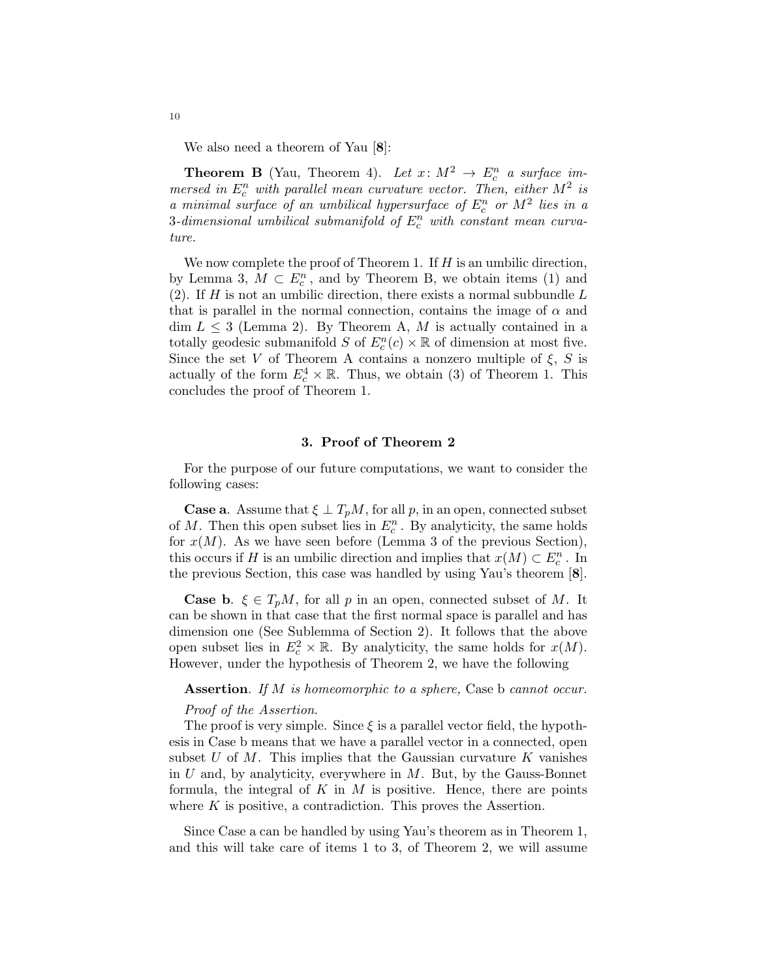We also need a theorem of Yau [8]:

**Theorem B** (Yau, Theorem 4). Let  $x: M^2 \to E_c^n$  a surface im*mersed in*  $E_c^n$  *with parallel mean curvature vector. Then, either*  $M^2$  *is a* minimal surface of an umbilical hypersurface of  $E_c^n$  or  $M^2$  lies in a  $3$ -dimensional umbilical submanifold of  $E_c^n$  with constant mean curva*ture.*

We now complete the proof of Theorem 1. If  $H$  is an umbilic direction, by Lemma 3,  $M \subset E_c^n$ , and by Theorem B, we obtain items (1) and (2). If  $H$  is not an umbilic direction, there exists a normal subbundle  $L$ that is parallel in the normal connection, contains the image of  $\alpha$  and  $\dim L \leq 3$  (Lemma 2). By Theorem A, M is actually contained in a totally geodesic submanifold S of  $E_c^n(c) \times \mathbb{R}$  of dimension at most five. Since the set V of Theorem A contains a nonzero multiple of  $\xi$ , S is actually of the form  $E_c^4 \times \mathbb{R}$ . Thus, we obtain (3) of Theorem 1. This concludes the proof of Theorem 1.

## 3. Proof of Theorem 2

For the purpose of our future computations, we want to consider the following cases:

**Case a.** Assume that  $\xi \perp T_pM$ , for all p, in an open, connected subset of M. Then this open subset lies in  $E_c^n$ . By analyticity, the same holds for  $x(M)$ . As we have seen before (Lemma 3 of the previous Section), this occurs if H is an umbilic direction and implies that  $x(M) \subset E_c^n$ . In the previous Section, this case was handled by using Yau's theorem [8].

**Case b.**  $\xi \in T_pM$ , for all p in an open, connected subset of M. It can be shown in that case that the first normal space is parallel and has dimension one (See Sublemma of Section 2). It follows that the above open subset lies in  $E_c^2 \times \mathbb{R}$ . By analyticity, the same holds for  $x(M)$ . However, under the hypothesis of Theorem 2, we have the following

# Assertion. *If* M *is homeomorphic to a sphere,* Case b *cannot occur.*

# *Proof of the Assertion*.

The proof is very simple. Since  $\xi$  is a parallel vector field, the hypothesis in Case b means that we have a parallel vector in a connected, open subset  $U$  of  $M$ . This implies that the Gaussian curvature  $K$  vanishes in  $U$  and, by analyticity, everywhere in  $M$ . But, by the Gauss-Bonnet formula, the integral of  $K$  in  $M$  is positive. Hence, there are points where  $K$  is positive, a contradiction. This proves the Assertion.

Since Case a can be handled by using Yau's theorem as in Theorem 1, and this will take care of items 1 to 3, of Theorem 2, we will assume

10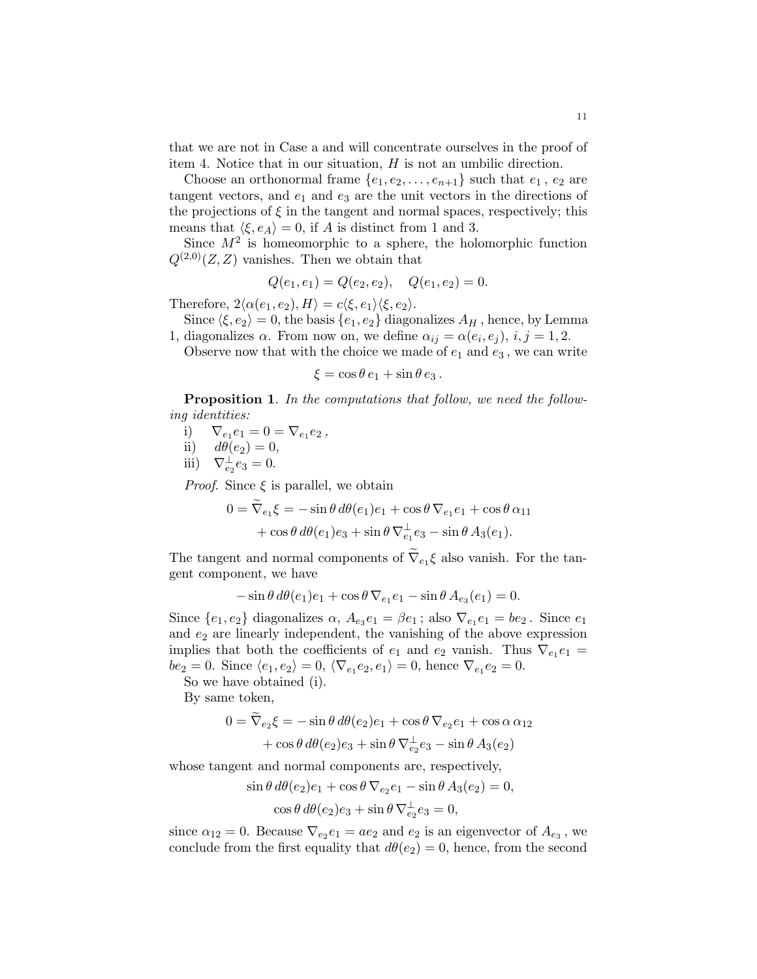that we are not in Case a and will concentrate ourselves in the proof of item 4. Notice that in our situation, H is not an umbilic direction.

Choose an orthonormal frame  $\{e_1, e_2, \ldots, e_{n+1}\}$  such that  $e_1, e_2$  are tangent vectors, and  $e_1$  and  $e_3$  are the unit vectors in the directions of the projections of  $\xi$  in the tangent and normal spaces, respectively; this means that  $\langle \xi, e_A \rangle = 0$ , if A is distinct from 1 and 3.

Since  $M^2$  is homeomorphic to a sphere, the holomorphic function  $Q^{(2,0)}(Z, Z)$  vanishes. Then we obtain that

$$
Q(e_1, e_1) = Q(e_2, e_2), \quad Q(e_1, e_2) = 0.
$$

Therefore,  $2\langle \alpha(e_1, e_2), H \rangle = c\langle \xi, e_1 \rangle \langle \xi, e_2 \rangle$ .

Since  $\langle \xi, e_2 \rangle = 0$ , the basis  $\{e_1, e_2\}$  diagonalizes  $A_H$ , hence, by Lemma 1, diagonalizes  $\alpha$ . From now on, we define  $\alpha_{ij} = \alpha(e_i, e_j)$ ,  $i, j = 1, 2$ .

Observe now that with the choice we made of  $e_1$  and  $e_3$ , we can write

$$
\xi = \cos \theta \, e_1 + \sin \theta \, e_3 \, .
$$

Proposition 1. *In the computations that follow, we need the following identities:*

- i)  $\nabla_{e_1} e_1 = 0 = \nabla_{e_1} e_2,$
- ii)  $d\theta(e_2) = 0$ ,
- iii)  $\nabla_{e_2}^{\perp} e_3 = 0.$

*Proof.* Since  $\xi$  is parallel, we obtain

$$
0 = \nabla_{e_1} \xi = -\sin\theta \, d\theta(e_1)e_1 + \cos\theta \, \nabla_{e_1} e_1 + \cos\theta \, \alpha_{11} + \cos\theta \, d\theta(e_1)e_3 + \sin\theta \, \nabla_{e_1}^{\perp} e_3 - \sin\theta \, A_3(e_1).
$$

The tangent and normal components of  $\nabla_{e_1} \xi$  also vanish. For the tangent component, we have

$$
-\sin\theta \, d\theta(e_1)e_1 + \cos\theta \, \nabla_{e_1}e_1 - \sin\theta \, A_{e_3}(e_1) = 0.
$$

Since  $\{e_1, e_2\}$  diagonalizes  $\alpha$ ,  $A_{e_3}e_1 = \beta e_1$ ; also  $\nabla_{e_1}e_1 = be_2$ . Since  $e_1$ and  $e_2$  are linearly independent, the vanishing of the above expression implies that both the coefficients of  $e_1$  and  $e_2$  vanish. Thus  $\nabla_{e_1} e_1 =$  $be_2 = 0$ . Since  $\langle e_1, e_2 \rangle = 0$ ,  $\langle \nabla_{e_1} e_2, e_1 \rangle = 0$ , hence  $\nabla_{e_1} e_2 = 0$ .

So we have obtained (i).

By same token,

$$
0 = \nabla_{e_2} \xi = -\sin\theta \, d\theta(e_2)e_1 + \cos\theta \, \nabla_{e_2} e_1 + \cos\alpha \, \alpha_{12} + \cos\theta \, d\theta(e_2)e_3 + \sin\theta \, \nabla_{e_2}^{\perp} e_3 - \sin\theta \, A_3(e_2)
$$

whose tangent and normal components are, respectively,

$$
\sin \theta \, d\theta(e_2)e_1 + \cos \theta \, \nabla_{e_2} e_1 - \sin \theta \, A_3(e_2) = 0,
$$
  

$$
\cos \theta \, d\theta(e_2)e_3 + \sin \theta \, \nabla_{e_2}^{\perp} e_3 = 0,
$$

since  $\alpha_{12} = 0$ . Because  $\nabla_{e_2} e_1 = ae_2$  and  $e_2$  is an eigenvector of  $A_{e_3}$ , we conclude from the first equality that  $d\theta(e_2) = 0$ , hence, from the second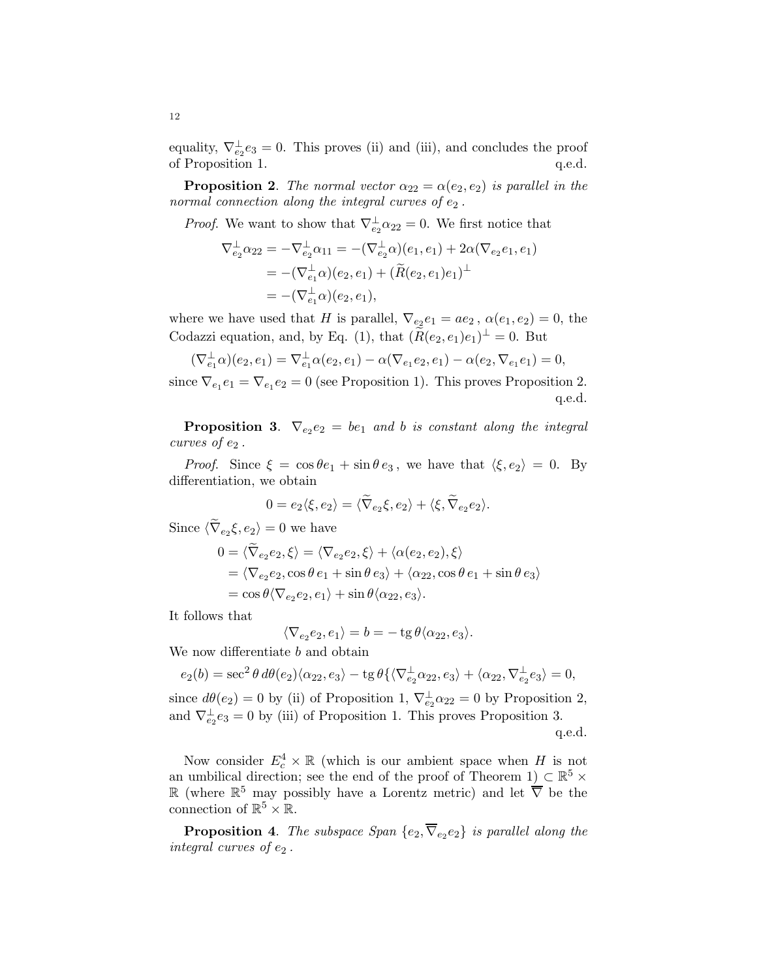equality,  $\nabla_{e_2}^{\perp} e_3 = 0$ . This proves (ii) and (iii), and concludes the proof of Proposition 1.  $q.e.d.$ 

**Proposition 2.** *The normal vector*  $\alpha_{22} = \alpha(e_2, e_2)$  *is parallel in the normal connection along the integral curves of e<sub>2</sub>.* 

*Proof.* We want to show that  $\nabla_{e_2}^{\perp} \alpha_{22} = 0$ . We first notice that

$$
\nabla_{e_2}^{\perp} \alpha_{22} = -\nabla_{e_2}^{\perp} \alpha_{11} = -(\nabla_{e_2}^{\perp} \alpha)(e_1, e_1) + 2\alpha(\nabla_{e_2} e_1, e_1)
$$
  
= -(\nabla\_{e\_1}^{\perp} \alpha)(e\_2, e\_1) + (\widetilde{R}(e\_2, e\_1)e\_1)^{\perp}  
= -(\nabla\_{e\_1}^{\perp} \alpha)(e\_2, e\_1),

where we have used that H is parallel,  $\nabla_{e_2} e_1 = ae_2$ ,  $\alpha(e_1, e_2) = 0$ , the Codazzi equation, and, by Eq. (1), that  $(\widetilde{R}(e_2, e_1)e_1)^{\perp} = 0$ . But

$$
(\nabla_{e_1}^{\perp}\alpha)(e_2, e_1) = \nabla_{e_1}^{\perp}\alpha(e_2, e_1) - \alpha(\nabla_{e_1}e_2, e_1) - \alpha(e_2, \nabla_{e_1}e_1) = 0,
$$

since  $\nabla_{e_1} e_1 = \nabla_{e_1} e_2 = 0$  (see Proposition 1). This proves Proposition 2. q.e.d.

**Proposition 3.**  $\nabla_{e_2}e_2 = be_1$  and b is constant along the integral *curves of*  $e_2$ .

*Proof.* Since  $\xi = \cos \theta e_1 + \sin \theta e_3$ , we have that  $\langle \xi, e_2 \rangle = 0$ . By differentiation, we obtain

$$
0 = e_2 \langle \xi, e_2 \rangle = \langle \widetilde{\nabla}_{e_2} \xi, e_2 \rangle + \langle \xi, \widetilde{\nabla}_{e_2} e_2 \rangle.
$$

Since  $\langle \nabla_{e_2} \xi, e_2 \rangle = 0$  we have

$$
0 = \langle \widetilde{\nabla}_{e_2} e_2, \xi \rangle = \langle \nabla_{e_2} e_2, \xi \rangle + \langle \alpha(e_2, e_2), \xi \rangle
$$
  
= \langle \nabla\_{e\_2} e\_2, \cos \theta e\_1 + \sin \theta e\_3 \rangle + \langle \alpha\_{22}, \cos \theta e\_1 + \sin \theta e\_3 \rangle  
= \cos \theta \langle \nabla\_{e\_2} e\_2, e\_1 \rangle + \sin \theta \langle \alpha\_{22}, e\_3 \rangle.

It follows that

$$
\langle \nabla_{e_2} e_2, e_1 \rangle = b = -\operatorname{tg} \theta \langle \alpha_{22}, e_3 \rangle.
$$

We now differentiate b and obtain

$$
e_2(b) = \sec^2 \theta \, d\theta(e_2) \langle \alpha_{22}, e_3 \rangle - \operatorname{tg} \theta \{ \langle \nabla_{e_2}^{\perp} \alpha_{22}, e_3 \rangle + \langle \alpha_{22}, \nabla_{e_2}^{\perp} e_3 \rangle = 0,
$$

since  $d\theta(e_2) = 0$  by (ii) of Proposition 1,  $\nabla_{e_2}^{\perp} \alpha_{22} = 0$  by Proposition 2, and  $\nabla_{e_2}^{\perp} e_3 = 0$  by (iii) of Proposition 1. This proves Proposition 3. q.e.d.

Now consider  $E_c^4 \times \mathbb{R}$  (which is our ambient space when H is not an umbilical direction; see the end of the proof of Theorem 1)  $\subset \mathbb{R}^5 \times$ R (where  $\mathbb{R}^5$  may possibly have a Lorentz metric) and let  $\overline{\nabla}$  be the connection of  $\mathbb{R}^5 \times \mathbb{R}$ .

**Proposition 4.** The subspace Span  $\{e_2, \nabla_{e_2}e_2\}$  is parallel along the *integral curves of*  $e_2$ .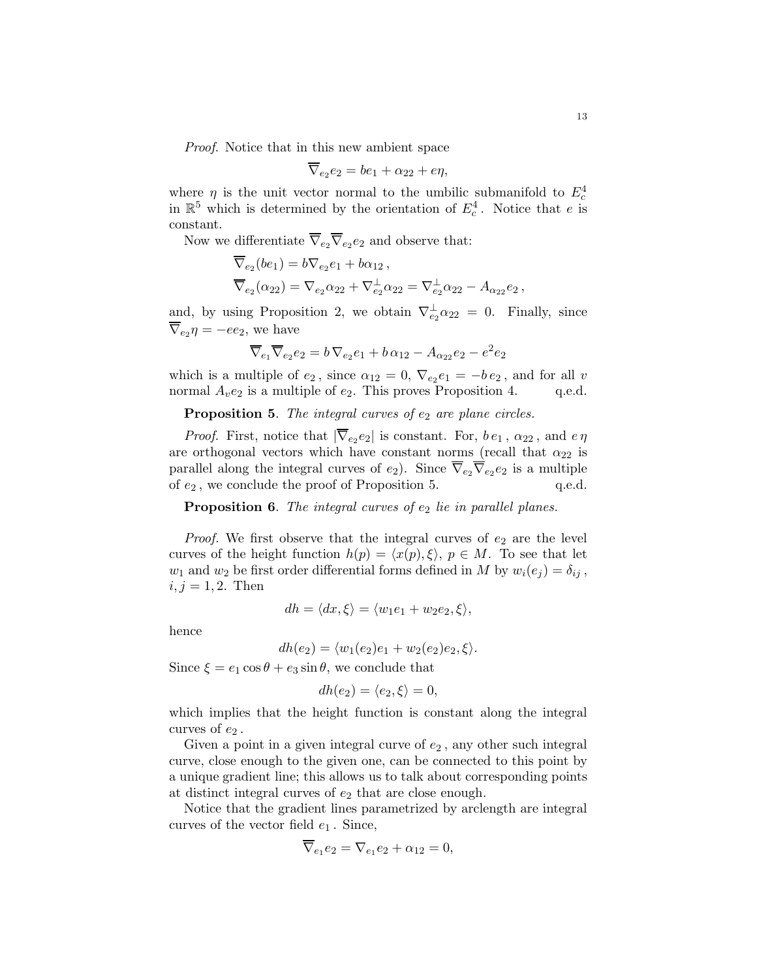*Proof*. Notice that in this new ambient space

$$
\overline{\nabla}_{e_2}e_2 = be_1 + \alpha_{22} + e\eta,
$$

where  $\eta$  is the unit vector normal to the umbilic submanifold to  $E_c^4$ in  $\mathbb{R}^5$  which is determined by the orientation of  $E_c^4$ . Notice that e is constant.

Now we differentiate  $\nabla_{e_2} \nabla_{e_2} e_2$  and observe that:

$$
\overline{\nabla}_{e_2}(be_1) = b\nabla_{e_2}e_1 + b\alpha_{12},
$$
  
\n
$$
\overline{\nabla}_{e_2}(\alpha_{22}) = \nabla_{e_2}\alpha_{22} + \nabla_{e_2}^{\perp}\alpha_{22} = \nabla_{e_2}^{\perp}\alpha_{22} - A_{\alpha_{22}}e_2,
$$

and, by using Proposition 2, we obtain  $\nabla_{e_2}^{\perp} \alpha_{22} = 0$ . Finally, since  $\nabla_{e_2}\eta = -ee_2$ , we have

$$
\overline{\nabla}_{e_1}\overline{\nabla}_{e_2}e_2 = b\,\nabla_{e_2}e_1 + b\,\alpha_{12} - A_{\alpha_{22}}e_2 - e^2e_2
$$

which is a multiple of  $e_2$ , since  $\alpha_{12} = 0$ ,  $\nabla_{e_2} e_1 = -b e_2$ , and for all v normal  $A_{v}e_2$  is a multiple of  $e_2$ . This proves Proposition 4. q.e.d.

Proposition 5. The integral curves of  $e_2$  are plane circles.

*Proof.* First, notice that  $|\nabla_{e_2} e_2|$  is constant. For,  $b e_1$ ,  $\alpha_{22}$ , and  $e \eta$ are orthogonal vectors which have constant norms (recall that  $\alpha_{22}$  is parallel along the integral curves of  $e_2$ ). Since  $\nabla_{e_2} \nabla_{e_2} e_2$  is a multiple of  $e_2$ , we conclude the proof of Proposition 5.  $q.e.d.$ 

**Proposition 6.** The integral curves of  $e_2$  lie in parallel planes.

*Proof.* We first observe that the integral curves of  $e_2$  are the level curves of the height function  $h(p) = \langle x(p), \xi \rangle$ ,  $p \in M$ . To see that let  $w_1$  and  $w_2$  be first order differential forms defined in M by  $w_i(e_i) = \delta_{ij}$ ,  $i, j = 1, 2$ . Then

$$
dh = \langle dx, \xi \rangle = \langle w_1 e_1 + w_2 e_2, \xi \rangle,
$$

hence

$$
dh(e_2) = \langle w_1(e_2)e_1 + w_2(e_2)e_2, \xi \rangle.
$$

Since  $\xi = e_1 \cos \theta + e_3 \sin \theta$ , we conclude that

$$
dh(e_2) = \langle e_2, \xi \rangle = 0,
$$

which implies that the height function is constant along the integral curves of  $e_2$ .

Given a point in a given integral curve of  $e_2$ , any other such integral curve, close enough to the given one, can be connected to this point by a unique gradient line; this allows us to talk about corresponding points at distinct integral curves of  $e_2$  that are close enough.

Notice that the gradient lines parametrized by arclength are integral curves of the vector field  $e_1$ . Since,

$$
\nabla_{e_1} e_2 = \nabla_{e_1} e_2 + \alpha_{12} = 0,
$$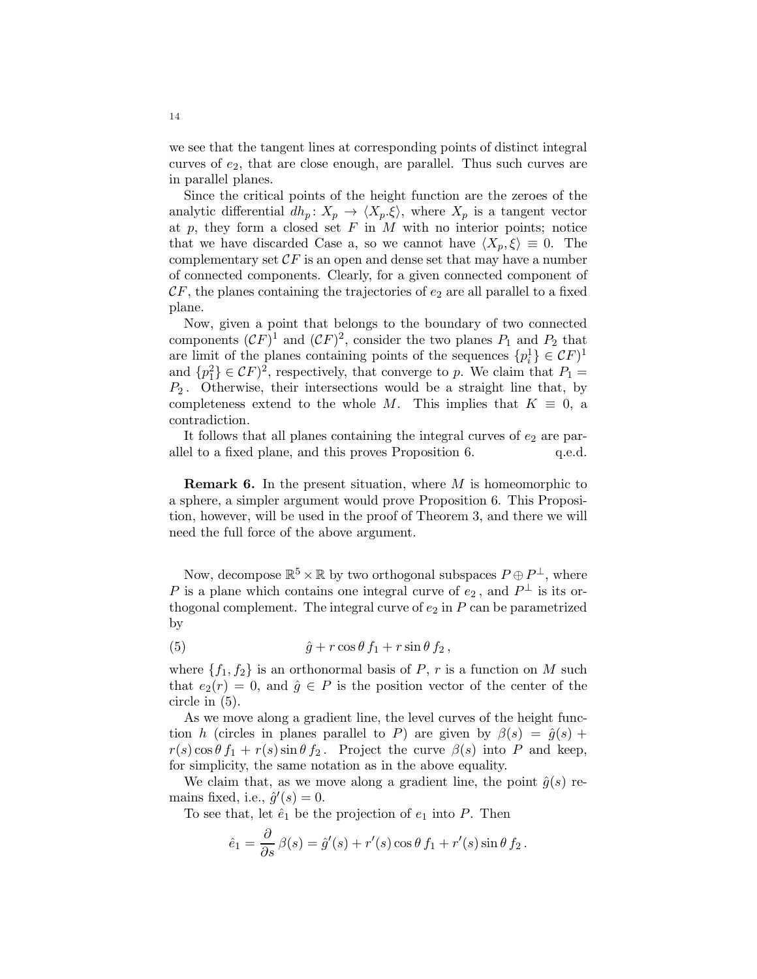we see that the tangent lines at corresponding points of distinct integral curves of  $e_2$ , that are close enough, are parallel. Thus such curves are in parallel planes.

Since the critical points of the height function are the zeroes of the analytic differential  $dh_p: X_p \to \langle X_p.\xi \rangle$ , where  $X_p$  is a tangent vector at  $p$ , they form a closed set  $F$  in  $M$  with no interior points; notice that we have discarded Case a, so we cannot have  $\langle X_p, \xi \rangle \equiv 0$ . The complementary set  $\mathcal{C}F$  is an open and dense set that may have a number of connected components. Clearly, for a given connected component of  $CF$ , the planes containing the trajectories of  $e_2$  are all parallel to a fixed plane.

Now, given a point that belongs to the boundary of two connected components  $(CF)^1$  and  $(CF)^2$ , consider the two planes  $P_1$  and  $P_2$  that are limit of the planes containing points of the sequences  $\{p_i^1\} \in \mathcal{C}F$ <sup>1</sup> and  $\{p_1^2\} \in \mathcal{C}F$ <sup>2</sup>, respectively, that converge to p. We claim that  $P_1 =$  $P_2$ . Otherwise, their intersections would be a straight line that, by completeness extend to the whole M. This implies that  $K \equiv 0$ , a contradiction.

It follows that all planes containing the integral curves of  $e_2$  are parallel to a fixed plane, and this proves Proposition 6.  $q.e.d.$ 

**Remark 6.** In the present situation, where  $M$  is homeomorphic to a sphere, a simpler argument would prove Proposition 6. This Proposition, however, will be used in the proof of Theorem 3, and there we will need the full force of the above argument.

Now, decompose  $\mathbb{R}^5 \times \mathbb{R}$  by two orthogonal subspaces  $P \oplus P^{\perp}$ , where P is a plane which contains one integral curve of  $e_2$ , and  $P^{\perp}$  is its orthogonal complement. The integral curve of  $e_2$  in  $P$  can be parametrized by

(5) 
$$
\hat{g} + r \cos \theta f_1 + r \sin \theta f_2,
$$

where  $\{f_1, f_2\}$  is an orthonormal basis of P, r is a function on M such that  $e_2(r) = 0$ , and  $\hat{g} \in P$  is the position vector of the center of the circle in (5).

As we move along a gradient line, the level curves of the height function h (circles in planes parallel to P) are given by  $\beta(s) = \hat{g}(s) +$  $r(s) \cos \theta f_1 + r(s) \sin \theta f_2$ . Project the curve  $\beta(s)$  into P and keep, for simplicity, the same notation as in the above equality.

We claim that, as we move along a gradient line, the point  $\hat{g}(s)$  remains fixed, i.e.,  $\hat{g}'(s) = 0$ .

To see that, let  $\hat{e}_1$  be the projection of  $e_1$  into P. Then

$$
\hat{e}_1 = \frac{\partial}{\partial s} \beta(s) = \hat{g}'(s) + r'(s) \cos \theta f_1 + r'(s) \sin \theta f_2.
$$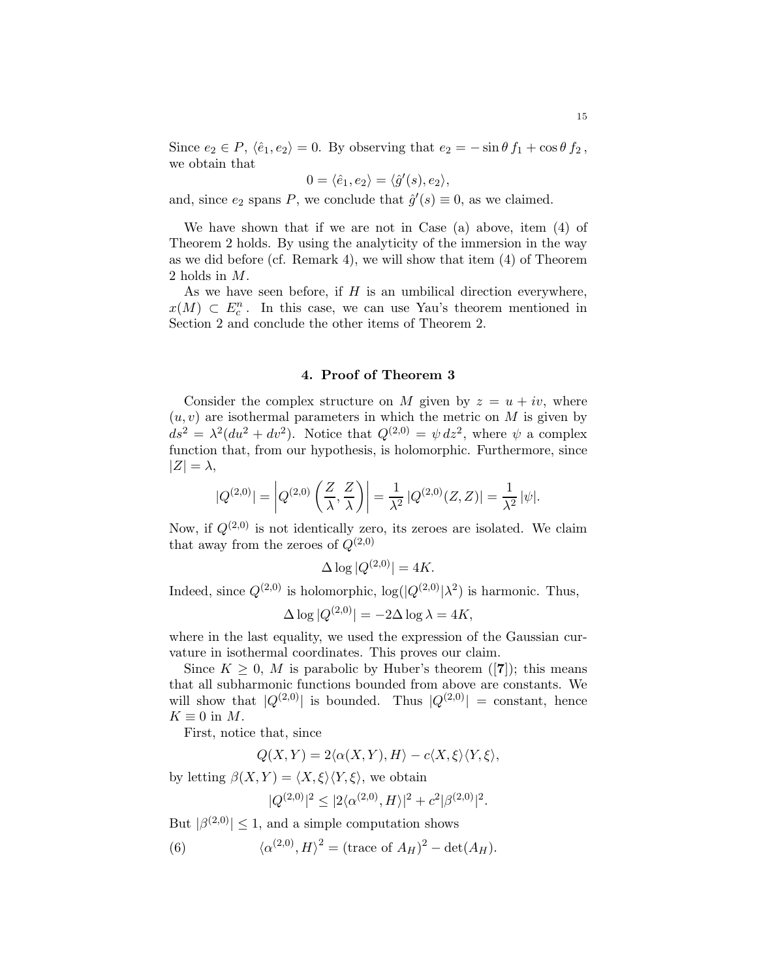Since  $e_2 \in P$ ,  $\langle \hat{e}_1, e_2 \rangle = 0$ . By observing that  $e_2 = -\sin \theta f_1 + \cos \theta f_2$ , we obtain that

$$
0 = \langle \hat{e}_1, e_2 \rangle = \langle \hat{g}'(s), e_2 \rangle,
$$

and, since  $e_2$  spans P, we conclude that  $\hat{g}'(s) \equiv 0$ , as we claimed.

We have shown that if we are not in Case (a) above, item (4) of Theorem 2 holds. By using the analyticity of the immersion in the way as we did before (cf. Remark 4), we will show that item (4) of Theorem 2 holds in M.

As we have seen before, if  $H$  is an umbilical direction everywhere,  $x(M) \subset E_c^n$ . In this case, we can use Yau's theorem mentioned in Section 2 and conclude the other items of Theorem 2.

### 4. Proof of Theorem 3

Consider the complex structure on M given by  $z = u + iv$ , where  $(u, v)$  are isothermal parameters in which the metric on M is given by  $ds^2 = \lambda^2 (du^2 + dv^2)$ . Notice that  $Q^{(2,0)} = \psi dz^2$ , where  $\psi$  a complex function that, from our hypothesis, is holomorphic. Furthermore, since  $|Z| = \lambda$ ,

$$
|Q^{(2,0)}| = \left| Q^{(2,0)}\left(\frac{Z}{\lambda}, \frac{Z}{\lambda}\right) \right| = \frac{1}{\lambda^2} \left| Q^{(2,0)}(Z,Z) \right| = \frac{1}{\lambda^2} |\psi|.
$$

Now, if  $Q^{(2,0)}$  is not identically zero, its zeroes are isolated. We claim that away from the zeroes of  $Q^{(2,0)}$ 

$$
\Delta \log |Q^{(2,0)}| = 4K.
$$

Indeed, since  $Q^{(2,0)}$  is holomorphic,  $\log(|Q^{(2,0)}|\lambda^2)$  is harmonic. Thus,

$$
\Delta \log |Q^{(2,0)}| = -2\Delta \log \lambda = 4K,
$$

where in the last equality, we used the expression of the Gaussian curvature in isothermal coordinates. This proves our claim.

Since  $K \geq 0$ , M is parabolic by Huber's theorem ([7]); this means that all subharmonic functions bounded from above are constants. We will show that  $|Q^{(2,0)}|$  is bounded. Thus  $|Q^{(2,0)}|$  = constant, hence  $K \equiv 0$  in M.

First, notice that, since

$$
Q(X,Y) = 2\langle \alpha(X,Y), H \rangle - c\langle X, \xi \rangle \langle Y, \xi \rangle,
$$

by letting  $\beta(X, Y) = \langle X, \xi \rangle \langle Y, \xi \rangle$ , we obtain

$$
|Q^{(2,0)}|^2 \le |2\langle \alpha^{(2,0)}, H \rangle|^2 + c^2 |\beta^{(2,0)}|^2.
$$

But  $|\beta^{(2,0)}| \leq 1$ , and a simple computation shows

(6) 
$$
\langle \alpha^{(2,0)}, H \rangle^2 = (\text{trace of } A_H)^2 - \det(A_H).
$$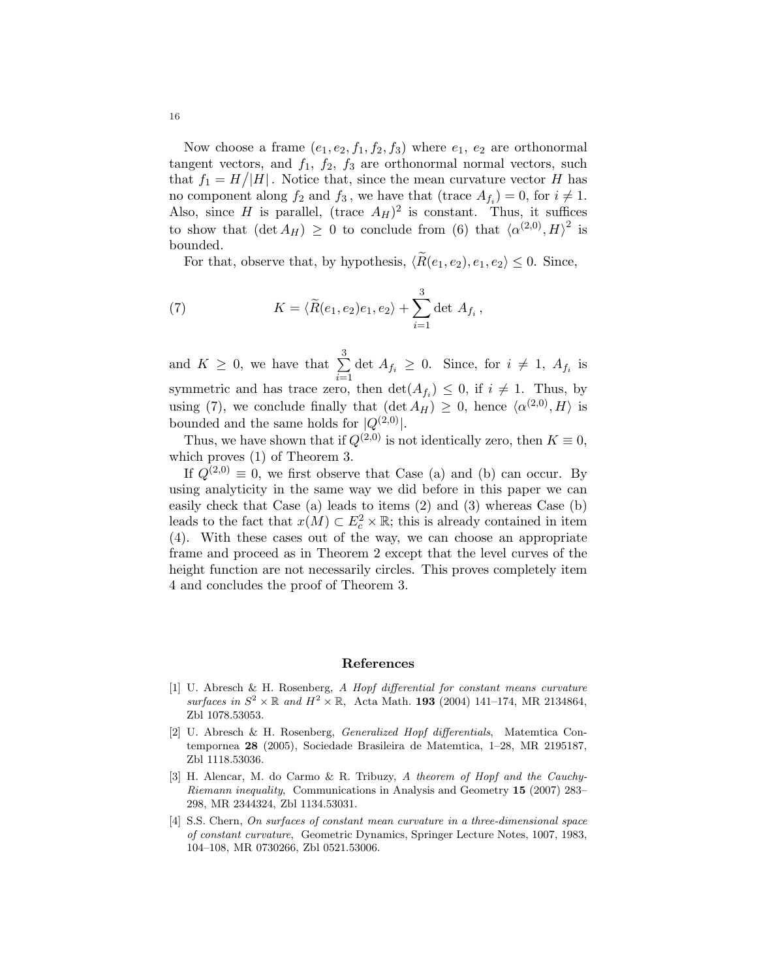Now choose a frame  $(e_1, e_2, f_1, f_2, f_3)$  where  $e_1, e_2$  are orthonormal tangent vectors, and  $f_1$ ,  $f_2$ ,  $f_3$  are orthonormal normal vectors, such that  $f_1 = H/|H|$ . Notice that, since the mean curvature vector H has no component along  $f_2$  and  $f_3$ , we have that (trace  $A_{f_i}$ ) = 0, for  $i \neq 1$ . Also, since H is parallel, (trace  $A_H$ )<sup>2</sup> is constant. Thus, it suffices to show that  $(\det A_H) \geq 0$  to conclude from (6) that  $\langle \alpha^{(2,0)}, H \rangle^2$  is bounded.

For that, observe that, by hypothesis,  $\langle \tilde{R}(e_1, e_2), e_1, e_2 \rangle \leq 0$ . Since,

(7) 
$$
K = \langle \widetilde{R}(e_1, e_2)e_1, e_2 \rangle + \sum_{i=1}^{3} \det A_{f_i},
$$

and  $K \geq 0$ , we have that  $\sum_{n=1}^{3}$  $\sum_{i=1}$  det  $A_{f_i} \geq 0$ . Since, for  $i \neq 1$ ,  $A_{f_i}$  is symmetric and has trace zero, then  $\det(A_{f_i}) \leq 0$ , if  $i \neq 1$ . Thus, by using (7), we conclude finally that  $(\det A_H) \geq 0$ , hence  $\langle \alpha^{(2,0)}, H \rangle$  is bounded and the same holds for  $|Q^{(2,0)}|$ .

Thus, we have shown that if  $Q^{(2,0)}$  is not identically zero, then  $K \equiv 0$ , which proves (1) of Theorem 3.

If  $Q^{(2,0)} \equiv 0$ , we first observe that Case (a) and (b) can occur. By using analyticity in the same way we did before in this paper we can easily check that Case (a) leads to items (2) and (3) whereas Case (b) leads to the fact that  $x(M) \subset E_c^2 \times \mathbb{R}$ ; this is already contained in item (4). With these cases out of the way, we can choose an appropriate frame and proceed as in Theorem 2 except that the level curves of the height function are not necessarily circles. This proves completely item 4 and concludes the proof of Theorem 3.

### References

- [1] U. Abresch & H. Rosenberg, A Hopf differential for constant means curvature surfaces in  $S^2 \times \mathbb{R}$  and  $H^2 \times \mathbb{R}$ , Acta Math. 193 (2004) 141-174, MR 2134864, Zbl 1078.53053.
- [2] U. Abresch & H. Rosenberg, Generalized Hopf differentials, Matemtica Contempornea 28 (2005), Sociedade Brasileira de Matemtica, 1–28, MR 2195187, Zbl 1118.53036.
- [3] H. Alencar, M. do Carmo & R. Tribuzy, A theorem of Hopf and the Cauchy-Riemann inequality, Communications in Analysis and Geometry 15 (2007) 283– 298, MR 2344324, Zbl 1134.53031.
- [4] S.S. Chern, On surfaces of constant mean curvature in a three-dimensional space of constant curvature, Geometric Dynamics, Springer Lecture Notes, 1007, 1983, 104–108, MR 0730266, Zbl 0521.53006.